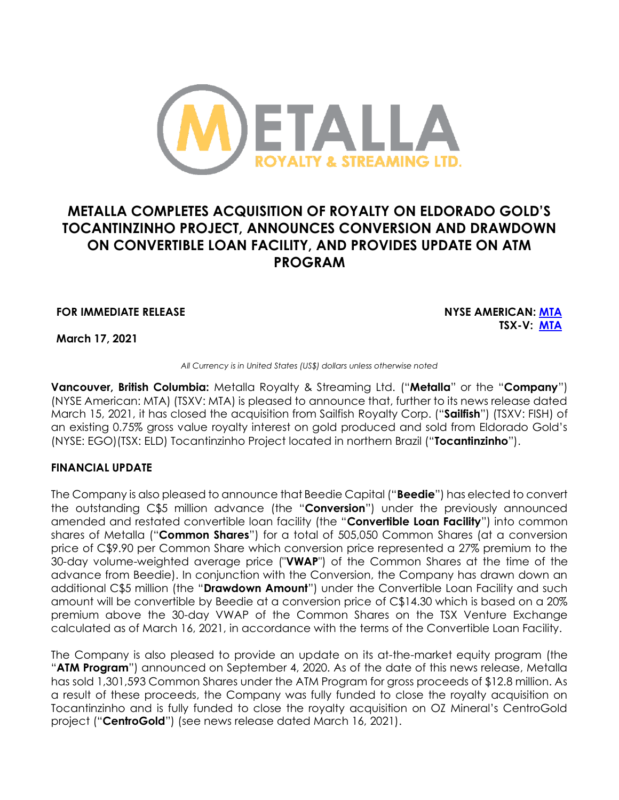

# **METALLA COMPLETES ACQUISITION OF ROYALTY ON ELDORADO GOLD'S TOCANTINZINHO PROJECT, ANNOUNCES CONVERSION AND DRAWDOWN ON CONVERTIBLE LOAN FACILITY, AND PROVIDES UPDATE ON ATM PROGRAM**

**FOR IMMEDIATE RELEASE NYSE AMERICAN: [MTA](https://www.nyse.com/quote/XASE:MTA)**

**TSX-V: [MTA](https://web.tmxmoney.com/quote.php?qm_symbol=MTA)**

**March 17, 2021**

*All Currency is in United States (US\$) dollars unless otherwise noted*

**Vancouver, British Columbia:** Metalla Royalty & Streaming Ltd. ("**Metalla**" or the "**Company**") (NYSE American: MTA) (TSXV: MTA) is pleased to announce that, further to its news release dated March 15, 2021, it has closed the acquisition from Sailfish Royalty Corp. ("**Sailfish**") (TSXV: FISH) of an existing 0.75% gross value royalty interest on gold produced and sold from Eldorado Gold's (NYSE: EGO)(TSX: ELD) Tocantinzinho Project located in northern Brazil ("**Tocantinzinho**").

#### **FINANCIAL UPDATE**

The Company is also pleased to announce that Beedie Capital ("**Beedie**") has elected to convert the outstanding C\$5 million advance (the "**Conversion**") under the previously announced amended and restated convertible loan facility (the "**Convertible Loan Facility**") into common shares of Metalla ("**Common Shares**") for a total of 505,050 Common Shares (at a conversion price of C\$9.90 per Common Share which conversion price represented a 27% premium to the 30-day volume-weighted average price ("**VWAP**") of the Common Shares at the time of the advance from Beedie). In conjunction with the Conversion, the Company has drawn down an additional C\$5 million (the "**Drawdown Amount**") under the Convertible Loan Facility and such amount will be convertible by Beedie at a conversion price of C\$14.30 which is based on a 20% premium above the 30-day VWAP of the Common Shares on the TSX Venture Exchange calculated as of March 16, 2021, in accordance with the terms of the Convertible Loan Facility.

The Company is also pleased to provide an update on its at-the-market equity program (the "**ATM Program**") announced on September 4, 2020. As of the date of this news release, Metalla has sold 1,301,593 Common Shares under the ATM Program for gross proceeds of \$12.8 million. As a result of these proceeds, the Company was fully funded to close the royalty acquisition on Tocantinzinho and is fully funded to close the royalty acquisition on OZ Mineral's CentroGold project ("**CentroGold**") (see news release dated March 16, 2021).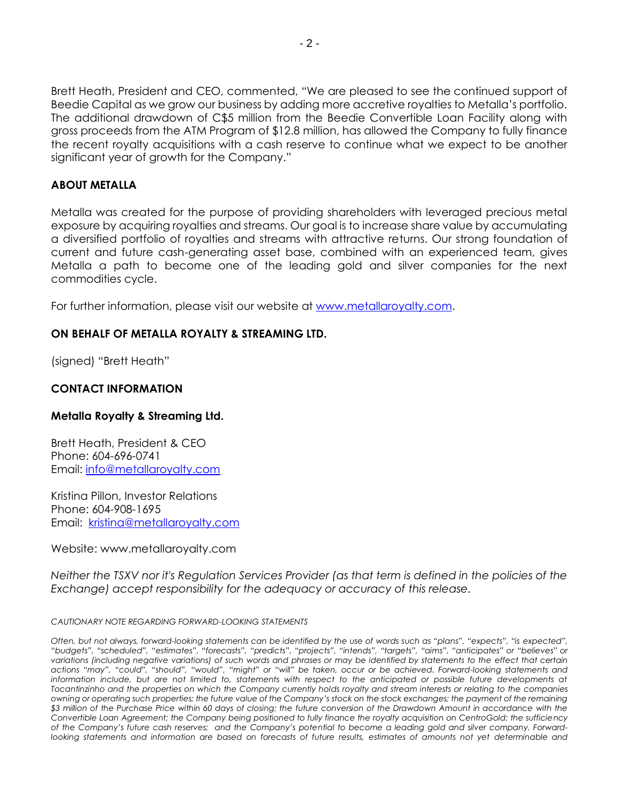Brett Heath, President and CEO, commented, "We are pleased to see the continued support of Beedie Capital as we grow our business by adding more accretive royalties to Metalla's portfolio. The additional drawdown of C\$5 million from the Beedie Convertible Loan Facility along with gross proceeds from the ATM Program of \$12.8 million, has allowed the Company to fully finance the recent royalty acquisitions with a cash reserve to continue what we expect to be another significant year of growth for the Company."

#### **ABOUT METALLA**

Metalla was created for the purpose of providing shareholders with leveraged precious metal exposure by acquiring royalties and streams. Our goal is to increase share value by accumulating a diversified portfolio of royalties and streams with attractive returns. Our strong foundation of current and future cash-generating asset base, combined with an experienced team, gives Metalla a path to become one of the leading gold and silver companies for the next commodities cycle.

For further information, please visit our website at [www.metallaroyalty.com.](http://www.metallaroyalty.com/)

## **ON BEHALF OF METALLA ROYALTY & STREAMING LTD.**

(signed) "Brett Heath"

## **CONTACT INFORMATION**

#### **Metalla Royalty & Streaming Ltd.**

Brett Heath, President & CEO Phone: [604-696-0741](tel:604-696-0741) Email: [info@metallaroyalty.com](mailto:info@metallaroyalty.com)

Kristina Pillon, Investor Relations Phone: 604-908-1695 Email: [kristina@metallaroyalty.com](mailto:kristina@metallaroyalty.com)

#### Website: [www.metallaroyalty.com](http://www.metallaroyalty.com/)

*Neither the TSXV nor it's Regulation Services Provider (as that term is defined in the policies of the Exchange) accept responsibility for the adequacy or accuracy of this release.* 

#### *CAUTIONARY NOTE REGARDING FORWARD-LOOKING STATEMENTS*

*Often, but not always, forward-looking statements can be identified by the use of words such as "plans", "expects", "is expected",* "budgets", "scheduled", "estimates", "forecasts", "predicts", "projects", "intends", "targets", "aims", "anticipates" or "believes" or *variations (including negative variations) of such words and phrases or may be identified by statements to the effect that certain*  actions "may", "could", "should", "would", "might" or "will" be taken, occur or be achieved. Forward-looking statements and information include, but are not limited to, statements with respect to the anticipated or possible future developments at *Tocantinzinho and the properties on which the Company currently holds royalty and stream interests or relating to the companies owning or operating such properties; the future value of the Company's stock on the stock exchanges; the payment of the remaining \$3 million of the Purchase Price within 60 days of closing; the future conversion of the Drawdown Amount in accordance with the Convertible Loan Agreement; the Company being positioned to fully finance the royalty acquisition on CentroGold; the sufficiency*  of the Company's future cash reserves; and the Company's potential to become a leading gold and silver company. Forwardlooking statements and information are based on forecasts of future results, estimates of amounts not yet determinable and